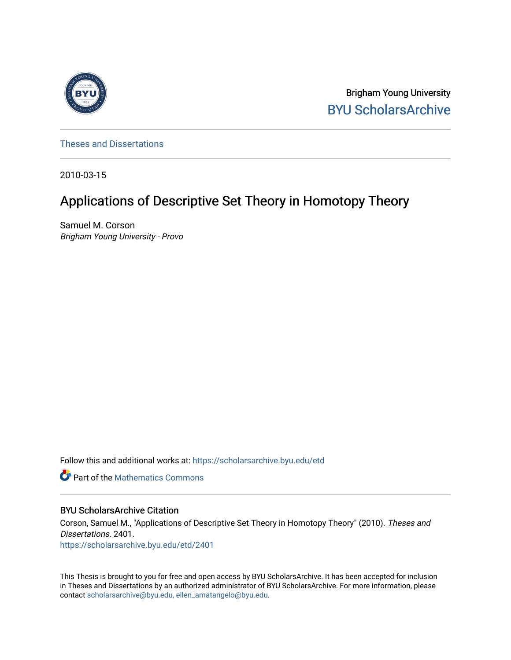

Brigham Young University [BYU ScholarsArchive](https://scholarsarchive.byu.edu/) 

[Theses and Dissertations](https://scholarsarchive.byu.edu/etd)

2010-03-15

# Applications of Descriptive Set Theory in Homotopy Theory

Samuel M. Corson Brigham Young University - Provo

Follow this and additional works at: [https://scholarsarchive.byu.edu/etd](https://scholarsarchive.byu.edu/etd?utm_source=scholarsarchive.byu.edu%2Fetd%2F2401&utm_medium=PDF&utm_campaign=PDFCoverPages)

**C** Part of the [Mathematics Commons](http://network.bepress.com/hgg/discipline/174?utm_source=scholarsarchive.byu.edu%2Fetd%2F2401&utm_medium=PDF&utm_campaign=PDFCoverPages)

#### BYU ScholarsArchive Citation

Corson, Samuel M., "Applications of Descriptive Set Theory in Homotopy Theory" (2010). Theses and Dissertations. 2401. [https://scholarsarchive.byu.edu/etd/2401](https://scholarsarchive.byu.edu/etd/2401?utm_source=scholarsarchive.byu.edu%2Fetd%2F2401&utm_medium=PDF&utm_campaign=PDFCoverPages) 

This Thesis is brought to you for free and open access by BYU ScholarsArchive. It has been accepted for inclusion in Theses and Dissertations by an authorized administrator of BYU ScholarsArchive. For more information, please contact [scholarsarchive@byu.edu, ellen\\_amatangelo@byu.edu](mailto:scholarsarchive@byu.edu,%20ellen_amatangelo@byu.edu).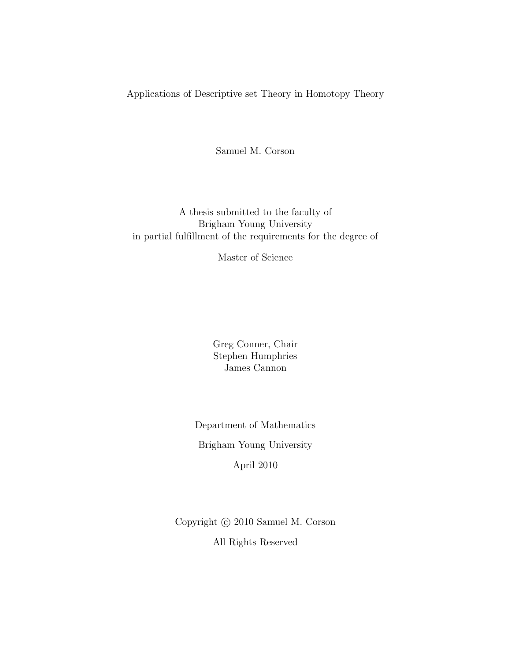Applications of Descriptive set Theory in Homotopy Theory

Samuel M. Corson

A thesis submitted to the faculty of Brigham Young University in partial fulfillment of the requirements for the degree of

Master of Science

Greg Conner, Chair Stephen Humphries James Cannon

Department of Mathematics Brigham Young University April 2010

Copyright  $\odot$  2010 Samuel M. Corson All Rights Reserved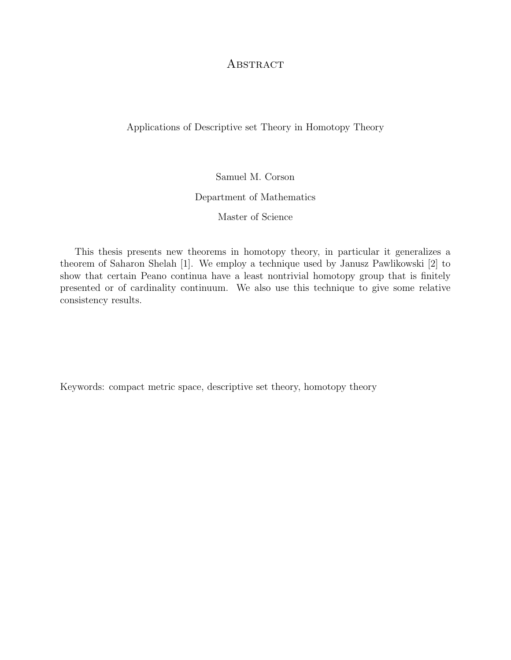# **ABSTRACT**

Applications of Descriptive set Theory in Homotopy Theory

Samuel M. Corson Department of Mathematics Master of Science

This thesis presents new theorems in homotopy theory, in particular it generalizes a theorem of Saharon Shelah [\[1\]](#page-23-0). We employ a technique used by Janusz Pawlikowski [\[2\]](#page-23-1) to show that certain Peano continua have a least nontrivial homotopy group that is finitely presented or of cardinality continuum. We also use this technique to give some relative consistency results.

Keywords: compact metric space, descriptive set theory, homotopy theory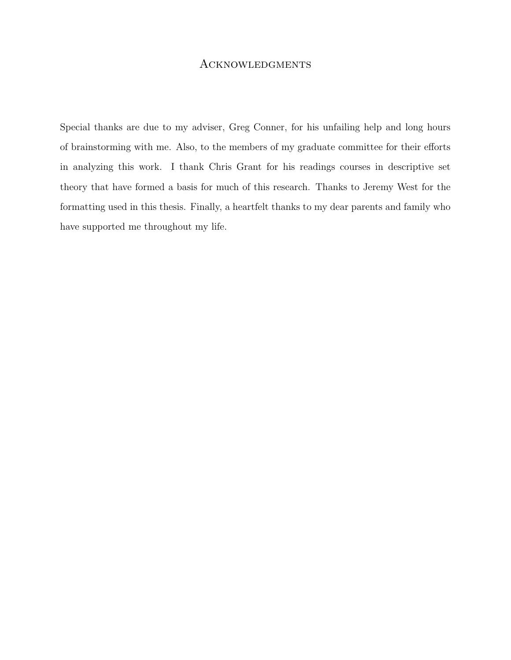#### **ACKNOWLEDGMENTS**

Special thanks are due to my adviser, Greg Conner, for his unfailing help and long hours of brainstorming with me. Also, to the members of my graduate committee for their efforts in analyzing this work. I thank Chris Grant for his readings courses in descriptive set theory that have formed a basis for much of this research. Thanks to Jeremy West for the formatting used in this thesis. Finally, a heartfelt thanks to my dear parents and family who have supported me throughout my life.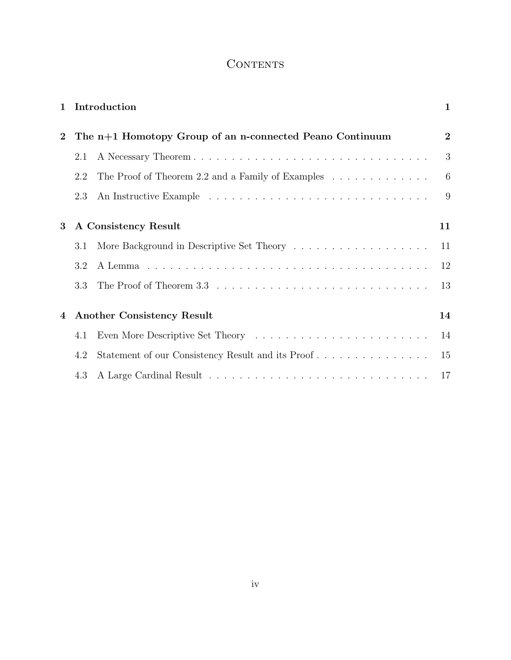# **CONTENTS**

| $\mathbf{1}$ |                                                          | Introduction                                      | $\mathbf{1}$   |
|--------------|----------------------------------------------------------|---------------------------------------------------|----------------|
| $\mathbf{2}$ | The n+1 Homotopy Group of an n-connected Peano Continuum |                                                   | $\overline{2}$ |
|              | 2.1                                                      |                                                   | 3              |
|              | 2.2                                                      | The Proof of Theorem 2.2 and a Family of Examples | 6              |
|              | 2.3                                                      |                                                   | 9              |
| $\bf{3}$     | A Consistency Result                                     |                                                   | 11             |
|              | 3.1                                                      |                                                   | 11             |
|              | 3.2                                                      |                                                   | 12             |
|              | 3.3                                                      |                                                   | 13             |
| 4            | <b>Another Consistency Result</b>                        |                                                   | 14             |
|              | 4.1                                                      |                                                   | 14             |
|              | 4.2                                                      | Statement of our Consistency Result and its Proof | 15             |
|              | 4.3                                                      |                                                   | 17             |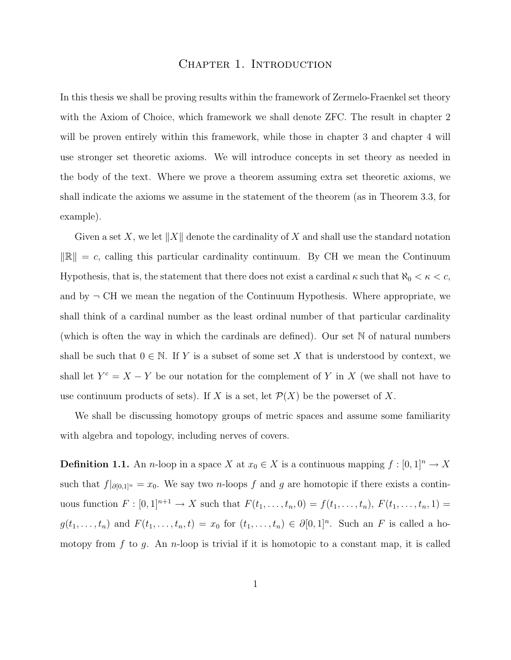#### CHAPTER 1. INTRODUCTION

<span id="page-5-0"></span>In this thesis we shall be proving results within the framework of Zermelo-Fraenkel set theory with the Axiom of Choice, which framework we shall denote ZFC. The result in chapter 2 will be proven entirely within this framework, while those in chapter 3 and chapter 4 will use stronger set theoretic axioms. We will introduce concepts in set theory as needed in the body of the text. Where we prove a theorem assuming extra set theoretic axioms, we shall indicate the axioms we assume in the statement of the theorem (as in Theorem [3.3,](#page-15-2) for example).

Given a set X, we let  $||X||$  denote the cardinality of X and shall use the standard notation  $\|\mathbb{R}\| = c$ , calling this particular cardinality continuum. By CH we mean the Continuum Hypothesis, that is, the statement that there does not exist a cardinal  $\kappa$  such that  $\aleph_0 < \kappa < c$ , and by  $\neg$  CH we mean the negation of the Continuum Hypothesis. Where appropriate, we shall think of a cardinal number as the least ordinal number of that particular cardinality (which is often the way in which the cardinals are defined). Our set N of natural numbers shall be such that  $0 \in \mathbb{N}$ . If Y is a subset of some set X that is understood by context, we shall let  $Y^c = X - Y$  be our notation for the complement of Y in X (we shall not have to use continuum products of sets). If X is a set, let  $\mathcal{P}(X)$  be the powerset of X.

We shall be discussing homotopy groups of metric spaces and assume some familiarity with algebra and topology, including nerves of covers.

**Definition 1.1.** An *n*-loop in a space X at  $x_0 \in X$  is a continuous mapping  $f : [0, 1]^n \to X$ such that  $f|_{\partial [0,1]^n} = x_0$ . We say two n-loops f and g are homotopic if there exists a continuous function  $F : [0,1]^{n+1} \to X$  such that  $F(t_1, ..., t_n, 0) = f(t_1, ..., t_n)$ ,  $F(t_1, ..., t_n, 1) =$  $g(t_1,\ldots,t_n)$  and  $F(t_1,\ldots,t_n,t)=x_0$  for  $(t_1,\ldots,t_n)\in\partial[0,1]^n$ . Such an F is called a homotopy from f to g. An n-loop is trivial if it is homotopic to a constant map, it is called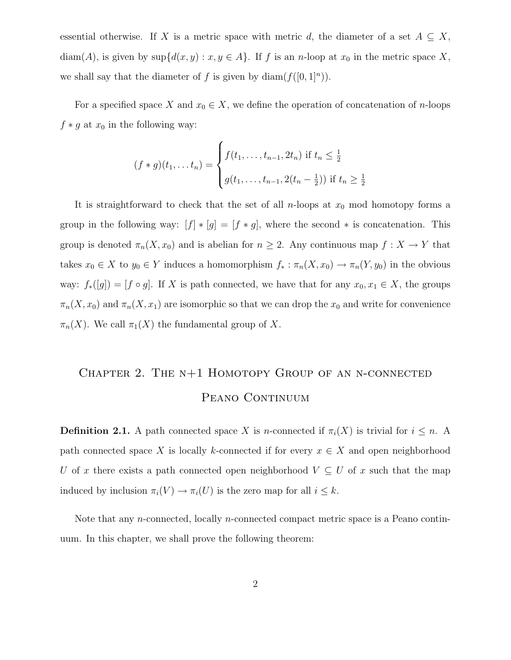essential otherwise. If X is a metric space with metric d, the diameter of a set  $A \subseteq X$ , diam(A), is given by  $\sup\{d(x,y): x,y \in A\}$ . If f is an n-loop at  $x_0$  in the metric space X, we shall say that the diameter of f is given by  $\text{diam}(f([0,1]^n)).$ 

For a specified space X and  $x_0 \in X$ , we define the operation of concatenation of n-loops  $f * g$  at  $x_0$  in the following way:

$$
(f * g)(t_1, \dots, t_n) = \begin{cases} f(t_1, \dots, t_{n-1}, 2t_n) & \text{if } t_n \leq \frac{1}{2} \\ g(t_1, \dots, t_{n-1}, 2(t_n - \frac{1}{2})) & \text{if } t_n \geq \frac{1}{2} \end{cases}
$$

It is straightforward to check that the set of all *n*-loops at  $x_0$  mod homotopy forms a group in the following way:  $[f] * [g] = [f * g]$ , where the second  $*$  is concatenation. This group is denoted  $\pi_n(X, x_0)$  and is abelian for  $n \geq 2$ . Any continuous map  $f : X \to Y$  that takes  $x_0 \in X$  to  $y_0 \in Y$  induces a homomorphism  $f_* : \pi_n(X, x_0) \to \pi_n(Y, y_0)$  in the obvious way:  $f_*([g]) = [f \circ g]$ . If X is path connected, we have that for any  $x_0, x_1 \in X$ , the groups  $\pi_n(X, x_0)$  and  $\pi_n(X, x_1)$  are isomorphic so that we can drop the  $x_0$  and write for convenience  $\pi_n(X)$ . We call  $\pi_1(X)$  the fundamental group of X.

# <span id="page-6-0"></span>Chapter 2. The n+1 Homotopy Group of an n-connected PEANO CONTINUUM

**Definition 2.1.** A path connected space X is n-connected if  $\pi_i(X)$  is trivial for  $i \leq n$ . A path connected space X is locally k-connected if for every  $x \in X$  and open neighborhood U of x there exists a path connected open neighborhood  $V \subseteq U$  of x such that the map induced by inclusion  $\pi_i(V) \to \pi_i(U)$  is the zero map for all  $i \leq k$ .

<span id="page-6-1"></span>Note that any *n*-connected, locally *n*-connected compact metric space is a Peano continuum. In this chapter, we shall prove the following theorem: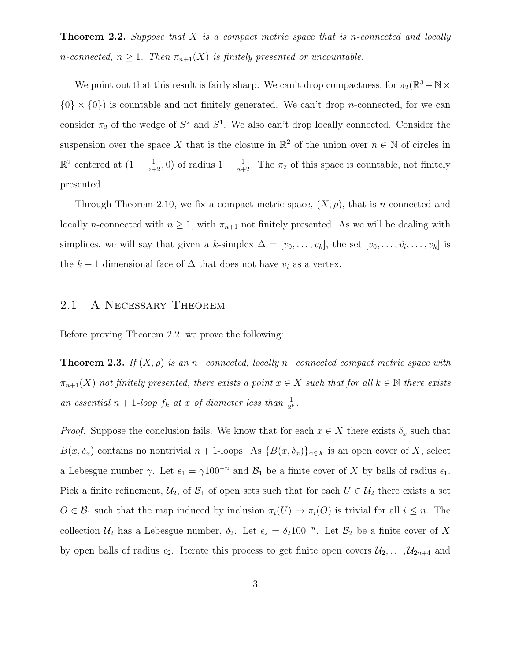**Theorem 2.2.** Suppose that  $X$  is a compact metric space that is n-connected and locally n-connected,  $n \geq 1$ . Then  $\pi_{n+1}(X)$  is finitely presented or uncountable.

We point out that this result is fairly sharp. We can't drop compactness, for  $\pi_2(\mathbb{R}^3 - \mathbb{N} \times$  $\{0\} \times \{0\}$  is countable and not finitely generated. We can't drop *n*-connected, for we can consider  $\pi_2$  of the wedge of  $S^2$  and  $S^1$ . We also can't drop locally connected. Consider the suspension over the space X that is the closure in  $\mathbb{R}^2$  of the union over  $n \in \mathbb{N}$  of circles in  $\mathbb{R}^2$  centered at  $(1-\frac{1}{n+2},0)$  of radius  $1-\frac{1}{n+2}$ . The  $\pi_2$  of this space is countable, not finitely presented.

Through Theorem [2.10,](#page-13-1) we fix a compact metric space,  $(X, \rho)$ , that is *n*-connected and locally *n*-connected with  $n \geq 1$ , with  $\pi_{n+1}$  not finitely presented. As we will be dealing with simplices, we will say that given a k-simplex  $\Delta = [v_0, \ldots, v_k]$ , the set  $[v_0, \ldots, \hat{v_i}, \ldots, v_k]$  is the  $k-1$  dimensional face of  $\Delta$  that does not have  $v_i$  as a vertex.

# <span id="page-7-0"></span>2.1 A Necessary Theorem

<span id="page-7-1"></span>Before proving Theorem [2.2,](#page-6-1) we prove the following:

**Theorem 2.3.** If  $(X, \rho)$  is an n–connected, locally n–connected compact metric space with  $\pi_{n+1}(X)$  not finitely presented, there exists a point  $x \in X$  such that for all  $k \in \mathbb{N}$  there exists an essential  $n + 1$ -loop  $f_k$  at x of diameter less than  $\frac{1}{2^k}$ .

*Proof.* Suppose the conclusion fails. We know that for each  $x \in X$  there exists  $\delta_x$  such that  $B(x, \delta_x)$  contains no nontrivial  $n + 1$ -loops. As  $\{B(x, \delta_x)\}_{x \in X}$  is an open cover of X, select a Lebesgue number  $\gamma$ . Let  $\epsilon_1 = \gamma 100^{-n}$  and  $\mathcal{B}_1$  be a finite cover of X by balls of radius  $\epsilon_1$ . Pick a finite refinement,  $U_2$ , of  $B_1$  of open sets such that for each  $U \in U_2$  there exists a set  $O \in \mathcal{B}_1$  such that the map induced by inclusion  $\pi_i(U) \to \pi_i(O)$  is trivial for all  $i \leq n$ . The collection  $\mathcal{U}_2$  has a Lebesgue number,  $\delta_2$ . Let  $\epsilon_2 = \delta_2 100^{-n}$ . Let  $\mathcal{B}_2$  be a finite cover of X by open balls of radius  $\epsilon_2$ . Iterate this process to get finite open covers  $\mathcal{U}_2, \ldots, \mathcal{U}_{2n+4}$  and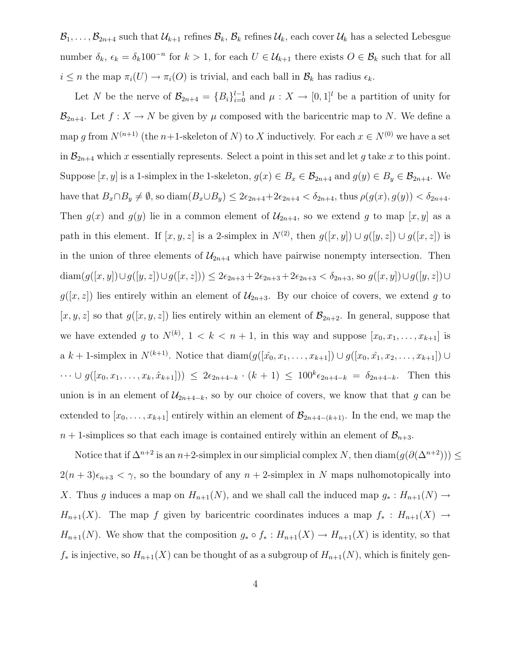$\mathcal{B}_1,\ldots,\mathcal{B}_{2n+4}$  such that  $\mathcal{U}_{k+1}$  refines  $\mathcal{B}_k,\mathcal{B}_k$  refines  $\mathcal{U}_k$ , each cover  $\mathcal{U}_k$  has a selected Lebesgue number  $\delta_k$ ,  $\epsilon_k = \delta_k 100^{-n}$  for  $k > 1$ , for each  $U \in \mathcal{U}_{k+1}$  there exists  $O \in \mathcal{B}_k$  such that for all  $i \leq n$  the map  $\pi_i(U) \to \pi_i(O)$  is trivial, and each ball in  $\mathcal{B}_k$  has radius  $\epsilon_k$ .

Let N be the nerve of  $\mathcal{B}_{2n+4} = \{B_i\}_{i=0}^{l-1}$  and  $\mu : X \to [0,1]^l$  be a partition of unity for  $\mathcal{B}_{2n+4}$ . Let  $f: X \to N$  be given by  $\mu$  composed with the baricentric map to N. We define a map g from  $N^{(n+1)}$  (the n+1-skeleton of N) to X inductively. For each  $x \in N^{(0)}$  we have a set in  $\mathcal{B}_{2n+4}$  which x essentially represents. Select a point in this set and let g take x to this point. Suppose  $[x, y]$  is a 1-simplex in the 1-skeleton,  $g(x) \in B_x \in \mathcal{B}_{2n+4}$  and  $g(y) \in B_y \in \mathcal{B}_{2n+4}$ . We have that  $B_x \cap B_y \neq \emptyset$ , so diam $(B_x \cup B_y) \leq 2\epsilon_{2n+4} + 2\epsilon_{2n+4} < \delta_{2n+4}$ , thus  $\rho(g(x), g(y)) < \delta_{2n+4}$ . Then  $g(x)$  and  $g(y)$  lie in a common element of  $\mathcal{U}_{2n+4}$ , so we extend g to map  $[x, y]$  as a path in this element. If  $[x, y, z]$  is a 2-simplex in  $N^{(2)}$ , then  $g([x, y]) \cup g([y, z]) \cup g([x, z])$  is in the union of three elements of  $\mathcal{U}_{2n+4}$  which have pairwise nonempty intersection. Then diam $(g([x,y])\cup g([y,z])\cup g([x,z])) \leq 2\epsilon_{2n+3} + 2\epsilon_{2n+3} + 2\epsilon_{2n+3} < \delta_{2n+3}$ , so  $g([x,y])\cup g([y,z])\cup g([y,z])$  $g([x, z])$  lies entirely within an element of  $\mathcal{U}_{2n+3}$ . By our choice of covers, we extend g to  $[x, y, z]$  so that  $g([x, y, z])$  lies entirely within an element of  $\mathcal{B}_{2n+2}$ . In general, suppose that we have extended g to  $N^{(k)}$ ,  $1 < k < n+1$ , in this way and suppose  $[x_0, x_1, \ldots, x_{k+1}]$  is a k + 1-simplex in  $N^{(k+1)}$ . Notice that  $\text{diam}(g([\hat{x}_0, x_1, \ldots, x_{k+1}]) \cup g([\hat{x}_0, \hat{x}_1, x_2, \ldots, x_{k+1}]) \cup$  $\cdots \cup g([x_0, x_1, \ldots, x_k, \hat{x}_{k+1}])) \leq 2\epsilon_{2n+4-k} \cdot (k+1) \leq 100^k \epsilon_{2n+4-k} = \delta_{2n+4-k}$ . Then this union is in an element of  $\mathcal{U}_{2n+4-k}$ , so by our choice of covers, we know that that g can be extended to  $[x_0, \ldots, x_{k+1}]$  entirely within an element of  $\mathcal{B}_{2n+4-(k+1)}$ . In the end, we map the  $n + 1$ -simplices so that each image is contained entirely within an element of  $\mathcal{B}_{n+3}$ .

Notice that if  $\Delta^{n+2}$  is an  $n+2$ -simplex in our simplicial complex N, then  $\text{diam}(g(\partial(\Delta^{n+2}))) \leq$  $2(n+3)\epsilon_{n+3} < \gamma$ , so the boundary of any  $n+2$ -simplex in N maps nulhomotopically into X. Thus g induces a map on  $H_{n+1}(N)$ , and we shall call the induced map  $g_* : H_{n+1}(N) \to$  $H_{n+1}(X)$ . The map f given by baricentric coordinates induces a map  $f_* : H_{n+1}(X) \to$  $H_{n+1}(N)$ . We show that the composition  $g_* \circ f_* : H_{n+1}(X) \to H_{n+1}(X)$  is identity, so that  $f_*$  is injective, so  $H_{n+1}(X)$  can be thought of as a subgroup of  $H_{n+1}(N)$ , which is finitely gen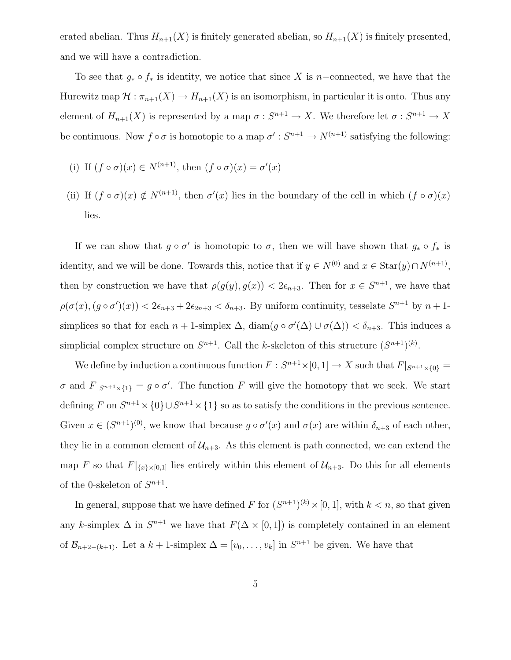erated abelian. Thus  $H_{n+1}(X)$  is finitely generated abelian, so  $H_{n+1}(X)$  is finitely presented, and we will have a contradiction.

To see that  $g_* \circ f_*$  is identity, we notice that since X is n–connected, we have that the Hurewitz map  $\mathcal{H} : \pi_{n+1}(X) \to H_{n+1}(X)$  is an isomorphism, in particular it is onto. Thus any element of  $H_{n+1}(X)$  is represented by a map  $\sigma : S^{n+1} \to X$ . We therefore let  $\sigma : S^{n+1} \to X$ be continuous. Now  $f \circ \sigma$  is homotopic to a map  $\sigma' : S^{n+1} \to N^{(n+1)}$  satisfying the following:

- (i) If  $(f \circ \sigma)(x) \in N^{(n+1)}$ , then  $(f \circ \sigma)(x) = \sigma'(x)$
- (ii) If  $(f \circ \sigma)(x) \notin N^{(n+1)}$ , then  $\sigma'(x)$  lies in the boundary of the cell in which  $(f \circ \sigma)(x)$ lies.

If we can show that  $g \circ \sigma'$  is homotopic to  $\sigma$ , then we will have shown that  $g_* \circ f_*$  is identity, and we will be done. Towards this, notice that if  $y \in N^{(0)}$  and  $x \in \text{Star}(y) \cap N^{(n+1)}$ , then by construction we have that  $\rho(g(y), g(x)) < 2\epsilon_{n+3}$ . Then for  $x \in S^{n+1}$ , we have that  $\rho(\sigma(x), (g \circ \sigma')(x)) < 2\epsilon_{n+3} + 2\epsilon_{2n+3} < \delta_{n+3}$ . By uniform continuity, tesselate  $S^{n+1}$  by  $n+1$ simplices so that for each  $n + 1$ -simplex  $\Delta$ , diam $(g \circ \sigma'(\Delta) \cup \sigma(\Delta)) < \delta_{n+3}$ . This induces a simplicial complex structure on  $S^{n+1}$ . Call the k-skeleton of this structure  $(S^{n+1})^{(k)}$ .

We define by induction a continuous function  $F: S^{n+1} \times [0,1] \to X$  such that  $F|_{S^{n+1} \times \{0\}} =$  $\sigma$  and  $F|_{S^{n+1}\times\{1\}}=g\circ\sigma'$ . The function F will give the homotopy that we seek. We start defining F on  $S^{n+1} \times \{0\} \cup S^{n+1} \times \{1\}$  so as to satisfy the conditions in the previous sentence. Given  $x \in (S^{n+1})^{(0)}$ , we know that because  $g \circ \sigma'(x)$  and  $\sigma(x)$  are within  $\delta_{n+3}$  of each other, they lie in a common element of  $\mathcal{U}_{n+3}$ . As this element is path connected, we can extend the map F so that  $F|_{\{x\}\times[0,1]}$  lies entirely within this element of  $\mathcal{U}_{n+3}$ . Do this for all elements of the 0-skeleton of  $S^{n+1}$ .

In general, suppose that we have defined F for  $(S^{n+1})^{(k)} \times [0, 1]$ , with  $k < n$ , so that given any k-simplex  $\Delta$  in  $S^{n+1}$  we have that  $F(\Delta \times [0,1])$  is completely contained in an element of  $\mathcal{B}_{n+2-(k+1)}$ . Let a  $k+1$ -simplex  $\Delta = [v_0, \ldots, v_k]$  in  $S^{n+1}$  be given. We have that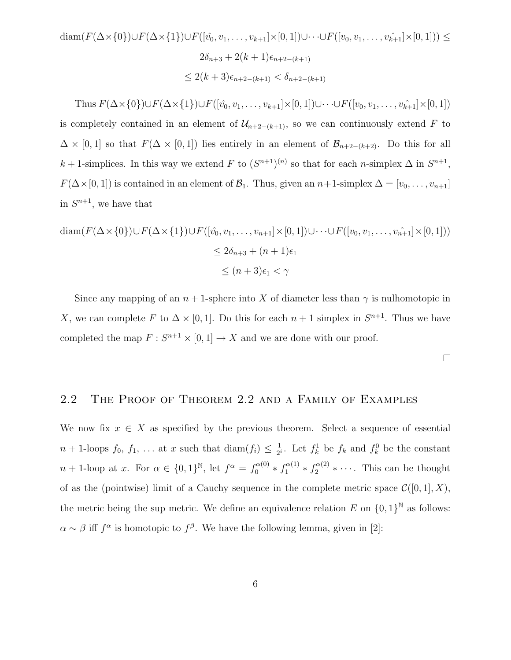$$
\begin{aligned}\n\text{diam}(F(\Delta \times \{0\}) \cup F(\Delta \times \{1\}) \cup F([\hat{v_0}, v_1, \dots, v_{k+1}] \times [0, 1]) \cup \dots \cup F([v_0, v_1, \dots, v_{k+1}] \times [0, 1])) &\leq \\
& 2\delta_{n+3} + 2(k+1)\epsilon_{n+2-(k+1)} \\
&\leq 2(k+3)\epsilon_{n+2-(k+1)} < \delta_{n+2-(k+1)}\n\end{aligned}
$$

Thus  $F(\Delta \times \{0\}) \cup F(\Delta \times \{1\}) \cup F([\hat{v_0}, v_1, \ldots, v_{k+1}] \times [0, 1]) \cup \cdots \cup F([\hat{v_0}, v_1, \ldots, v_{k+1}] \times [0, 1])$ is completely contained in an element of  $\mathcal{U}_{n+2-(k+1)}$ , so we can continuously extend F to  $\Delta \times [0,1]$  so that  $F(\Delta \times [0,1])$  lies entirely in an element of  $\mathcal{B}_{n+2-(k+2)}$ . Do this for all k + 1-simplices. In this way we extend F to  $(S^{n+1})^{(n)}$  so that for each n-simplex  $\Delta$  in  $S^{n+1}$ ,  $F(\Delta \times [0, 1])$  is contained in an element of  $\mathcal{B}_1$ . Thus, given an  $n+1$ -simplex  $\Delta = [v_0, \ldots, v_{n+1}]$ in  $S^{n+1}$ , we have that

$$
\begin{aligned}\n\text{diam}(F(\Delta \times \{0\}) \cup F(\Delta \times \{1\}) \cup F([\hat{v_0}, v_1, \dots, v_{n+1}] \times [0, 1]) \cup \dots \cup F([v_0, v_1, \dots, v_{n+1}] \times [0, 1])) \\
&\leq 2\delta_{n+3} + (n+1)\epsilon_1 \\
&\leq (n+3)\epsilon_1 < \gamma\n\end{aligned}
$$

Since any mapping of an  $n+1$ -sphere into X of diameter less than  $\gamma$  is nulhomotopic in X, we can complete F to  $\Delta \times [0, 1]$ . Do this for each  $n + 1$  simplex in  $S^{n+1}$ . Thus we have completed the map  $F: S^{n+1} \times [0,1] \to X$  and we are done with our proof.

 $\Box$ 

# <span id="page-10-0"></span>2.2 The Proof of Theorem [2.2](#page-6-1) and a Family of Examples

<span id="page-10-1"></span>We now fix  $x \in X$  as specified by the previous theorem. Select a sequence of essential  $n+1$ -loops  $f_0, f_1, \ldots$  at x such that  $\text{diam}(f_i) \leq \frac{1}{2^n}$  $\frac{1}{2^i}$ . Let  $f_k^1$  be  $f_k$  and  $f_k^0$  be the constant  $n+1$ -loop at x. For  $\alpha \in \{0,1\}^{\mathbb{N}},$  let  $f^{\alpha} = f_0^{\alpha(0)} * f_1^{\alpha(1)} * f_2^{\alpha(2)} * \cdots$ . This can be thought of as the (pointwise) limit of a Cauchy sequence in the complete metric space  $\mathcal{C}([0,1], X)$ , the metric being the sup metric. We define an equivalence relation E on  $\{0, 1\}^{\mathbb{N}}$  as follows:  $\alpha \sim \beta$  iff  $f^{\alpha}$  is homotopic to  $f^{\beta}$ . We have the following lemma, given in [\[2\]](#page-23-1):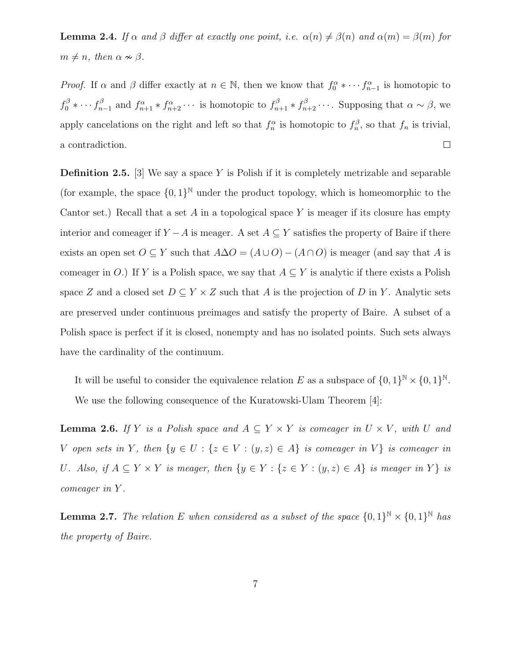**Lemma 2.4.** If  $\alpha$  and  $\beta$  differ at exactly one point, i.e.  $\alpha(n) \neq \beta(n)$  and  $\alpha(m) = \beta(m)$  for  $m \neq n$ , then  $\alpha \nsim \beta$ .

*Proof.* If  $\alpha$  and  $\beta$  differ exactly at  $n \in \mathbb{N}$ , then we know that  $f_0^{\alpha} * \cdots f_{n-1}^{\alpha}$  is homotopic to  $f_0^{\beta} * \cdots f_n^{\beta}$  $n_{n-1}^{\beta}$  and  $f_{n+1}^{\alpha} * f_{n+2}^{\alpha} \cdots$  is homotopic to  $f_{n+1}^{\beta} * f_{n+2}^{\beta} \cdots$ . Supposing that  $\alpha \sim \beta$ , we apply cancelations on the right and left so that  $f_n^{\alpha}$  is homotopic to  $f_n^{\beta}$ , so that  $f_n$  is trivial,  $\Box$ a contradiction.

**Definition 2.5.** [\[3\]](#page-23-2) We say a space Y is Polish if it is completely metrizable and separable (for example, the space  $\{0,1\}^{\mathbb{N}}$  under the product topology, which is homeomorphic to the Cantor set.) Recall that a set A in a topological space Y is meager if its closure has empty interior and comeager if  $Y - A$  is meager. A set  $A \subseteq Y$  satisfies the property of Baire if there exists an open set  $O \subseteq Y$  such that  $A \Delta O = (A \cup O) - (A \cap O)$  is meager (and say that A is comeager in O.) If Y is a Polish space, we say that  $A \subseteq Y$  is analytic if there exists a Polish space Z and a closed set  $D \subseteq Y \times Z$  such that A is the projection of D in Y. Analytic sets are preserved under continuous preimages and satisfy the property of Baire. A subset of a Polish space is perfect if it is closed, nonempty and has no isolated points. Such sets always have the cardinality of the continuum.

It will be useful to consider the equivalence relation E as a subspace of  $\{0,1\}^{\mathbb{N}} \times \{0,1\}^{\mathbb{N}}$ . We use the following consequence of the Kuratowski-Ulam Theorem [\[4\]](#page-23-3):

<span id="page-11-0"></span>**Lemma 2.6.** If Y is a Polish space and  $A \subseteq Y \times Y$  is comeager in  $U \times V$ , with U and V open sets in Y, then  $\{y \in U : \{z \in V : (y, z) \in A\}$  is comeager in V} is comeager in U. Also, if  $A \subseteq Y \times Y$  is meager, then  $\{y \in Y : \{z \in Y : (y, z) \in A\}$  is meager in Y  $\}$  is comeager in Y .

**Lemma 2.7.** The relation E when considered as a subset of the space  $\{0,1\}^{\mathbb{N}} \times \{0,1\}^{\mathbb{N}}$  has the property of Baire.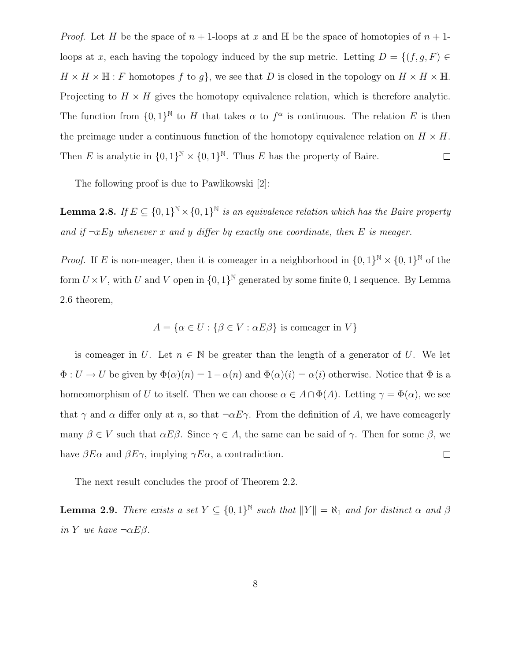*Proof.* Let H be the space of  $n + 1$ -loops at x and H be the space of homotopies of  $n + 1$ loops at x, each having the topology induced by the sup metric. Letting  $D = \{(f, g, F) \in$  $H \times H \times \mathbb{H}$ : F homotopes f to g, we see that D is closed in the topology on  $H \times H \times \mathbb{H}$ . Projecting to  $H \times H$  gives the homotopy equivalence relation, which is therefore analytic. The function from  $\{0,1\}^{\mathbb{N}}$  to H that takes  $\alpha$  to  $f^{\alpha}$  is continuous. The relation E is then the preimage under a continuous function of the homotopy equivalence relation on  $H \times H$ . Then E is analytic in  $\{0,1\}^{\mathbb{N}} \times \{0,1\}^{\mathbb{N}}$ . Thus E has the property of Baire.  $\Box$ 

The following proof is due to Pawlikowski [\[2\]](#page-23-1):

<span id="page-12-0"></span>**Lemma 2.8.** If  $E \subseteq \{0,1\}^{\mathbb{N}} \times \{0,1\}^{\mathbb{N}}$  is an equivalence relation which has the Baire property and if  $\neg x E y$  whenever x and y differ by exactly one coordinate, then E is meager.

*Proof.* If E is non-meager, then it is comeager in a neighborhood in  $\{0,1\}^{\mathbb{N}} \times \{0,1\}^{\mathbb{N}}$  of the form  $U \times V$ , with U and V open in  $\{0,1\}^{\mathbb{N}}$  generated by some finite 0, 1 sequence. By Lemma [2.6](#page-11-0) theorem,

$$
A = \{ \alpha \in U : \{ \beta \in V : \alpha E \beta \} \text{ is comeager in } V \}
$$

is comeager in U. Let  $n \in \mathbb{N}$  be greater than the length of a generator of U. We let  $\Phi: U \to U$  be given by  $\Phi(\alpha)(n) = 1 - \alpha(n)$  and  $\Phi(\alpha)(i) = \alpha(i)$  otherwise. Notice that  $\Phi$  is a homeomorphism of U to itself. Then we can choose  $\alpha \in A \cap \Phi(A)$ . Letting  $\gamma = \Phi(\alpha)$ , we see that  $\gamma$  and  $\alpha$  differ only at n, so that  $\neg \alpha E \gamma$ . From the definition of A, we have comeagerly many  $\beta \in V$  such that  $\alpha E\beta$ . Since  $\gamma \in A$ , the same can be said of  $\gamma$ . Then for some  $\beta$ , we have  $\beta E \alpha$  and  $\beta E \gamma$ , implying  $\gamma E \alpha$ , a contradiction.  $\Box$ 

<span id="page-12-1"></span>The next result concludes the proof of Theorem [2.2.](#page-6-1)

**Lemma 2.9.** There exists a set  $Y \subseteq \{0,1\}^{\mathbb{N}}$  such that  $||Y|| = \aleph_1$  and for distinct  $\alpha$  and  $\beta$ in Y we have  $\neg \alpha E\beta$ .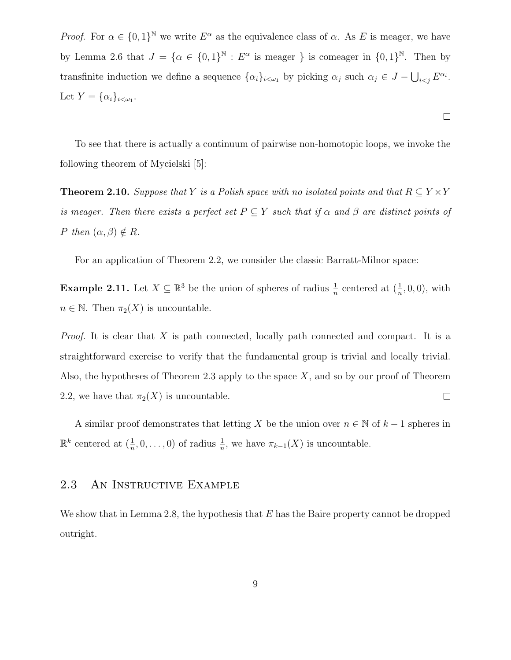*Proof.* For  $\alpha \in \{0,1\}^{\mathbb{N}}$  we write  $E^{\alpha}$  as the equivalence class of  $\alpha$ . As E is meager, we have by Lemma [2.6](#page-11-0) that  $J = {\alpha \in \{0,1\}^{\mathbb{N}} : E^{\alpha} \text{ is meager } }$  is comeager in  $\{0,1\}^{\mathbb{N}}$ . Then by transfinite induction we define a sequence  $\{\alpha_i\}_{i\leq \omega_1}$  by picking  $\alpha_j$  such  $\alpha_j \in J - \bigcup_{i\leq j} E^{\alpha_i}$ . Let  $Y = {\alpha_i}_{i < \omega_1}$ .

To see that there is actually a continuum of pairwise non-homotopic loops, we invoke the following theorem of Mycielski [\[5\]](#page-23-4):

 $\Box$ 

<span id="page-13-1"></span>**Theorem 2.10.** Suppose that Y is a Polish space with no isolated points and that  $R \subseteq Y \times Y$ is meager. Then there exists a perfect set  $P \subseteq Y$  such that if  $\alpha$  and  $\beta$  are distinct points of P then  $(\alpha, \beta) \notin R$ .

For an application of Theorem [2.2,](#page-6-1) we consider the classic Barratt-Milnor space:

**Example 2.11.** Let  $X \subseteq \mathbb{R}^3$  be the union of spheres of radius  $\frac{1}{n}$  centered at  $(\frac{1}{n},0,0)$ , with  $n \in \mathbb{N}$ . Then  $\pi_2(X)$  is uncountable.

*Proof.* It is clear that X is path connected, locally path connected and compact. It is a straightforward exercise to verify that the fundamental group is trivial and locally trivial. Also, the hypotheses of Theorem [2.3](#page-7-1) apply to the space  $X$ , and so by our proof of Theorem [2.2,](#page-6-1) we have that  $\pi_2(X)$  is uncountable.  $\Box$ 

A similar proof demonstrates that letting X be the union over  $n \in \mathbb{N}$  of  $k-1$  spheres in  $\mathbb{R}^k$  centered at  $(\frac{1}{n}, 0, \ldots, 0)$  of radius  $\frac{1}{n}$ , we have  $\pi_{k-1}(X)$  is uncountable.

#### <span id="page-13-0"></span>2.3 An Instructive Example

We show that in Lemma [2.8,](#page-12-0) the hypothesis that E has the Baire property cannot be dropped outright.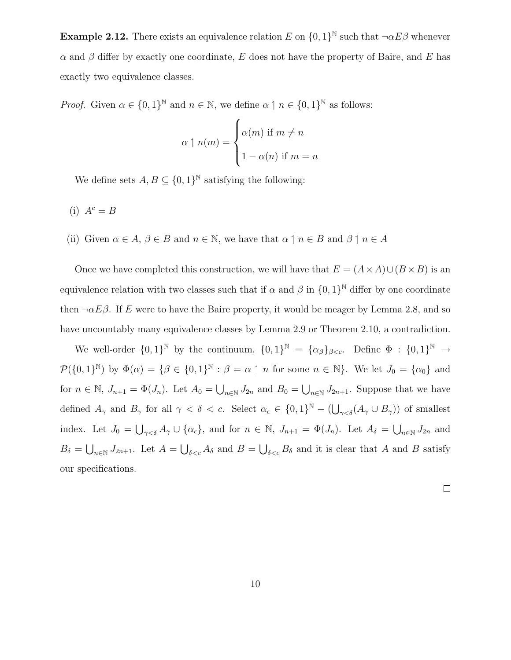**Example 2.12.** There exists an equivalence relation E on  $\{0,1\}^{\mathbb{N}}$  such that  $\neg \alpha E\beta$  whenever  $\alpha$  and  $\beta$  differ by exactly one coordinate, E does not have the property of Baire, and E has exactly two equivalence classes.

*Proof.* Given  $\alpha \in \{0,1\}^{\mathbb{N}}$  and  $n \in \mathbb{N}$ , we define  $\alpha \mid n \in \{0,1\}^{\mathbb{N}}$  as follows:

$$
\alpha \upharpoonright n(m) = \begin{cases} \alpha(m) & \text{if } m \neq n \\ 1 - \alpha(n) & \text{if } m = n \end{cases}
$$

We define sets  $A, B \subseteq \{0,1\}^{\mathbb{N}}$  satisfying the following:

- (i)  $A^c = B$
- (ii) Given  $\alpha \in A$ ,  $\beta \in B$  and  $n \in \mathbb{N}$ , we have that  $\alpha \uparrow n \in B$  and  $\beta \uparrow n \in A$

Once we have completed this construction, we will have that  $E = (A \times A) \cup (B \times B)$  is an equivalence relation with two classes such that if  $\alpha$  and  $\beta$  in  $\{0,1\}^{\mathbb{N}}$  differ by one coordinate then  $\neg \alpha E\beta$ . If E were to have the Baire property, it would be meager by Lemma [2.8,](#page-12-0) and so have uncountably many equivalence classes by Lemma [2.9](#page-12-1) or Theorem [2.10,](#page-13-1) a contradiction.

We well-order  $\{0,1\}^{\mathbb{N}}$  by the continuum,  $\{0,1\}^{\mathbb{N}} = {\{\alpha_{\beta}\}}_{\beta < c}$ . Define  $\Phi : \{0,1\}^{\mathbb{N}} \to$  $\mathcal{P}(\{0,1\}^{\mathbb{N}})$  by  $\Phi(\alpha) = \{\beta \in \{0,1\}^{\mathbb{N}} : \beta = \alpha \mid n \text{ for some } n \in \mathbb{N}\}\.$  We let  $J_0 = \{\alpha_0\}$  and for  $n \in \mathbb{N}$ ,  $J_{n+1} = \Phi(J_n)$ . Let  $A_0 = \bigcup_{n \in \mathbb{N}} J_{2n}$  and  $B_0 = \bigcup_{n \in \mathbb{N}} J_{2n+1}$ . Suppose that we have defined  $A_{\gamma}$  and  $B_{\gamma}$  for all  $\gamma < \delta < c$ . Select  $\alpha_{\epsilon} \in \{0,1\}^{\mathbb{N}} - (\bigcup_{\gamma < \delta} (A_{\gamma} \cup B_{\gamma}))$  of smallest index. Let  $J_0 = \bigcup_{\gamma < \delta} A_{\gamma} \cup \{\alpha_{\epsilon}\}\$ , and for  $n \in \mathbb{N}$ ,  $J_{n+1} = \Phi(J_n)$ . Let  $A_{\delta} = \bigcup_{n \in \mathbb{N}} J_{2n}$  and  $B_{\delta} = \bigcup_{n\in\mathbb{N}} J_{2n+1}$ . Let  $A = \bigcup_{\delta\leq c} A_{\delta}$  and  $B = \bigcup_{\delta\leq c} B_{\delta}$  and it is clear that A and B satisfy our specifications.

 $\Box$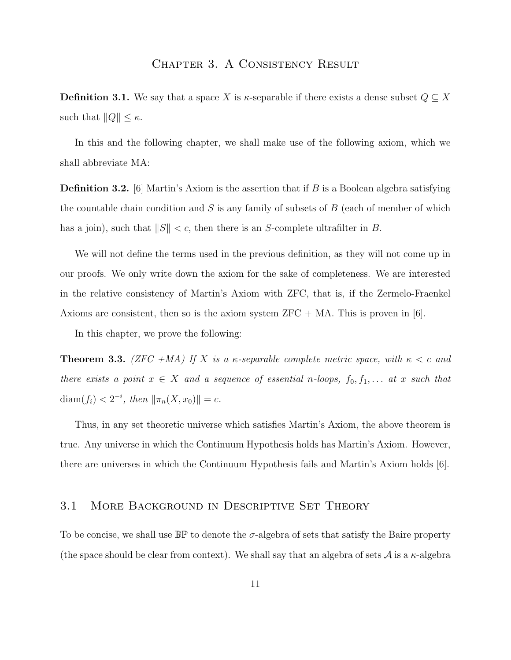# CHAPTER 3. A CONSISTENCY RESULT

<span id="page-15-0"></span>**Definition 3.1.** We say that a space X is  $\kappa$ -separable if there exists a dense subset  $Q \subseteq X$ such that  $||Q|| \leq \kappa$ .

In this and the following chapter, we shall make use of the following axiom, which we shall abbreviate MA:

**Definition 3.2.** [\[6\]](#page-23-5) Martin's Axiom is the assertion that if B is a Boolean algebra satisfying the countable chain condition and  $S$  is any family of subsets of  $B$  (each of member of which has a join), such that  $||S|| < c$ , then there is an S-complete ultrafilter in B.

We will not define the terms used in the previous definition, as they will not come up in our proofs. We only write down the axiom for the sake of completeness. We are interested in the relative consistency of Martin's Axiom with ZFC, that is, if the Zermelo-Fraenkel Axioms are consistent, then so is the axiom system  $ZFC + MA$ . This is proven in [\[6\]](#page-23-5).

<span id="page-15-2"></span>In this chapter, we prove the following:

**Theorem 3.3.** (ZFC +MA) If X is a  $\kappa$ -separable complete metric space, with  $\kappa < c$  and there exists a point  $x \in X$  and a sequence of essential n-loops,  $f_0, f_1, \ldots$  at x such that  $\text{diam}(f_i) < 2^{-i}, \text{ then } ||\pi_n(X, x_0)|| = c.$ 

Thus, in any set theoretic universe which satisfies Martin's Axiom, the above theorem is true. Any universe in which the Continuum Hypothesis holds has Martin's Axiom. However, there are universes in which the Continuum Hypothesis fails and Martin's Axiom holds [\[6\]](#page-23-5).

#### <span id="page-15-1"></span>3.1 More Background in Descriptive Set Theory

To be concise, we shall use  $\mathbb{BP}$  to denote the  $\sigma$ -algebra of sets that satisfy the Baire property (the space should be clear from context). We shall say that an algebra of sets  $\mathcal A$  is a  $\kappa$ -algebra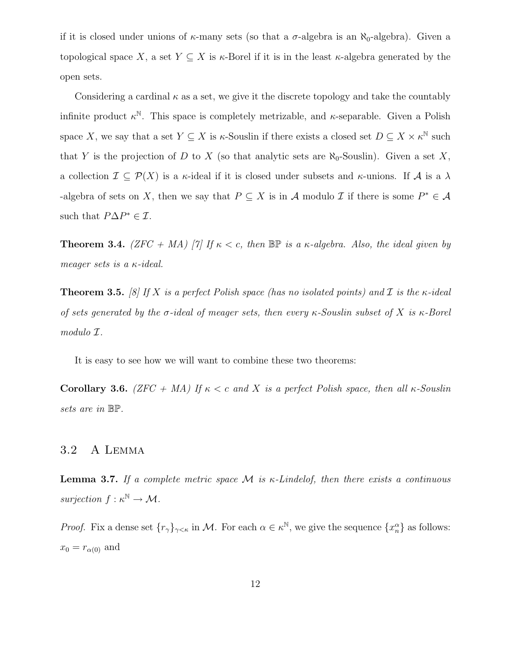if it is closed under unions of  $\kappa$ -many sets (so that a  $\sigma$ -algebra is an  $\aleph_0$ -algebra). Given a topological space X, a set  $Y \subseteq X$  is  $\kappa$ -Borel if it is in the least  $\kappa$ -algebra generated by the open sets.

Considering a cardinal  $\kappa$  as a set, we give it the discrete topology and take the countably infinite product  $\kappa^{\mathbb{N}}$ . This space is completely metrizable, and  $\kappa$ -separable. Given a Polish space X, we say that a set  $Y \subseteq X$  is  $\kappa$ -Souslin if there exists a closed set  $D \subseteq X \times \kappa^{\mathbb{N}}$  such that Y is the projection of D to X (so that analytic sets are  $\aleph_0$ -Souslin). Given a set X, a collection  $\mathcal{I} \subseteq \mathcal{P}(X)$  is a  $\kappa$ -ideal if it is closed under subsets and  $\kappa$ -unions. If A is a  $\lambda$ -algebra of sets on X, then we say that  $P \subseteq X$  is in A modulo  $\mathcal I$  if there is some  $P^* \in \mathcal A$ such that  $P\Delta P^* \in \mathcal{I}$ .

<span id="page-16-3"></span>**Theorem 3.4.** (ZFC + MA) [\[7\]](#page-23-6) If  $\kappa < c$ , then  $\mathbb{BP}$  is a  $\kappa$ -algebra. Also, the ideal given by meager sets is a  $\kappa$ -ideal.

**Theorem 3.5.** [\[8\]](#page-23-7) If X is a perfect Polish space (has no isolated points) and I is the  $\kappa$ -ideal of sets generated by the  $\sigma$ -ideal of meager sets, then every  $\kappa$ -Souslin subset of X is  $\kappa$ -Borel modulo I.

<span id="page-16-1"></span>It is easy to see how we will want to combine these two theorems:

Corollary 3.6. (ZFC + MA) If  $\kappa < c$  and X is a perfect Polish space, then all  $\kappa$ -Souslin sets are in BP.

#### <span id="page-16-0"></span>3.2 A Lemma

<span id="page-16-2"></span>**Lemma 3.7.** If a complete metric space M is  $\kappa$ -Lindelof, then there exists a continuous surjection  $f : \kappa^{\mathbb{N}} \to \mathcal{M}$ .

*Proof.* Fix a dense set  $\{r_{\gamma}\}_{\gamma<\kappa}$  in M. For each  $\alpha \in \kappa^{\mathbb{N}}$ , we give the sequence  $\{x_{n}^{\alpha}\}$  as follows:  $x_0 = r_{\alpha(0)}$  and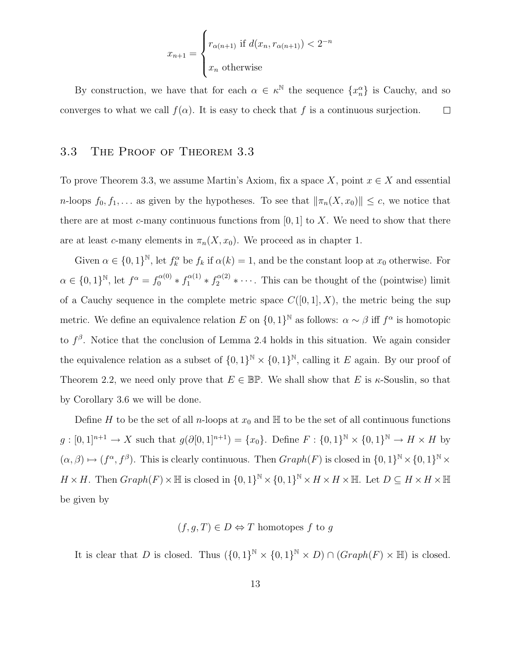$$
x_{n+1} = \begin{cases} r_{\alpha(n+1)} & \text{if } d(x_n, r_{\alpha(n+1)}) < 2^{-n} \\ x_n & \text{otherwise} \end{cases}
$$

By construction, we have that for each  $\alpha \in \kappa^{\mathbb{N}}$  the sequence  $\{x_n^{\alpha}\}\$ is Cauchy, and so converges to what we call  $f(\alpha)$ . It is easy to check that f is a continuous surjection.  $\Box$ 

#### <span id="page-17-0"></span>3.3 The Proof of Theorem [3.3](#page-15-2)

To prove Theorem [3.3,](#page-15-2) we assume Martin's Axiom, fix a space X, point  $x \in X$  and essential n-loops  $f_0, f_1, \ldots$  as given by the hypotheses. To see that  $\|\pi_n(X, x_0)\| \leq c$ , we notice that there are at most c-many continuous functions from  $[0, 1]$  to X. We need to show that there are at least c-many elements in  $\pi_n(X, x_0)$ . We proceed as in chapter 1.

Given  $\alpha \in \{0,1\}^{\mathbb{N}},$  let  $f_k^{\alpha}$  be  $f_k$  if  $\alpha(k) = 1$ , and be the constant loop at  $x_0$  otherwise. For  $\alpha \in \{0,1\}^{\mathbb{N}},$  let  $f^{\alpha} = f_0^{\alpha(0)} * f_1^{\alpha(1)} * f_2^{\alpha(2)} * \cdots$ . This can be thought of the (pointwise) limit of a Cauchy sequence in the complete metric space  $C([0, 1], X)$ , the metric being the sup metric. We define an equivalence relation E on  $\{0,1\}^{\mathbb{N}}$  as follows:  $\alpha \sim \beta$  iff  $f^{\alpha}$  is homotopic to  $f^{\beta}$ . Notice that the conclusion of Lemma [2.4](#page-10-1) holds in this situation. We again consider the equivalence relation as a subset of  $\{0,1\}^{\mathbb{N}} \times \{0,1\}^{\mathbb{N}}$ , calling it E again. By our proof of Theorem [2.2,](#page-6-1) we need only prove that  $E \in \mathbb{BP}$ . We shall show that E is  $\kappa$ -Souslin, so that by Corollary [3.6](#page-16-1) we will be done.

Define H to be the set of all n-loops at  $x_0$  and H to be the set of all continuous functions  $g: [0,1]^{n+1} \to X$  such that  $g(\partial [0,1]^{n+1}) = \{x_0\}$ . Define  $F: \{0,1\}^{\mathbb{N}} \times \{0,1\}^{\mathbb{N}} \to H \times H$  by  $(\alpha, \beta) \mapsto (f^{\alpha}, f^{\beta})$ . This is clearly continuous. Then  $Graph(F)$  is closed in  $\{0, 1\}^{\mathbb{N}} \times \{0, 1\}^{\mathbb{N}} \times$  $H \times H$ . Then  $Graph(F) \times \mathbb{H}$  is closed in  $\{0,1\}^{\mathbb{N}} \times \{0,1\}^{\mathbb{N}} \times H \times H \times \mathbb{H}$ . Let  $D \subseteq H \times H \times \mathbb{H}$ be given by

# $(f, q, T) \in D \Leftrightarrow T$  homotopes f to q

It is clear that D is closed. Thus  $({0,1})^{\mathbb{N}} \times {0,1}^{\mathbb{N}} \times D \cap (Graph(F) \times \mathbb{H})$  is closed.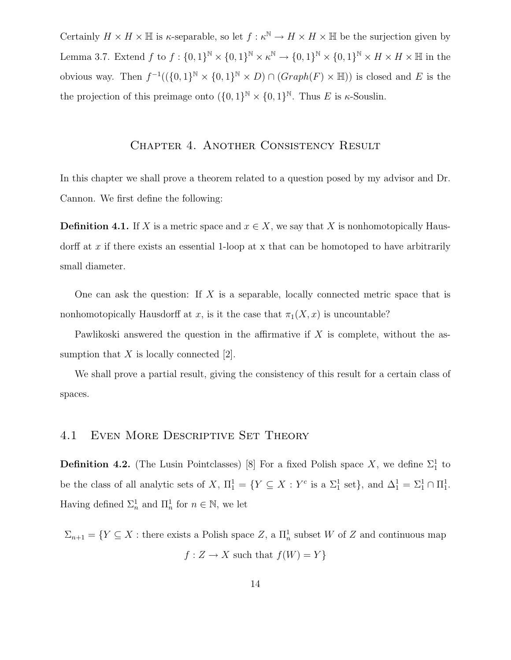Certainly  $H \times H \times \mathbb{H}$  is  $\kappa$ -separable, so let  $f : \kappa^{\mathbb{N}} \to H \times H \times \mathbb{H}$  be the surjection given by Lemma [3.7.](#page-16-2) Extend  $f$  to  $f: \{0,1\}^{\mathbb{N}} \times \{0,1\}^{\mathbb{N}} \times \kappa^{\mathbb{N}} \to \{0,1\}^{\mathbb{N}} \times \{0,1\}^{\mathbb{N}} \times H \times H \times H$  in the obvious way. Then  $f^{-1}((\{0,1\}^{\mathbb{N}} \times \{0,1\}^{\mathbb{N}} \times D) \cap (Graph(F) \times \mathbb{H}))$  is closed and E is the the projection of this preimage onto  $({0, 1})^{\mathbb{N}} \times {0, 1}^{\mathbb{N}}$ . Thus E is  $\kappa$ -Souslin.

#### Chapter 4. Another Consistency Result

<span id="page-18-0"></span>In this chapter we shall prove a theorem related to a question posed by my advisor and Dr. Cannon. We first define the following:

**Definition 4.1.** If X is a metric space and  $x \in X$ , we say that X is nonhomotopically Hausdorff at x if there exists an essential 1-loop at x that can be homotoped to have arbitrarily small diameter.

One can ask the question: If X is a separable, locally connected metric space that is nonhomotopically Hausdorff at x, is it the case that  $\pi_1(X, x)$  is uncountable?

Pawlikoski answered the question in the affirmative if  $X$  is complete, without the assumption that  $X$  is locally connected [\[2\]](#page-23-1).

We shall prove a partial result, giving the consistency of this result for a certain class of spaces.

# <span id="page-18-1"></span>4.1 Even More Descriptive Set Theory

**Definition 4.2.** (The Lusin Pointclasses) [\[8\]](#page-23-7) For a fixed Polish space X, we define  $\Sigma_1^1$  to be the class of all analytic sets of X,  $\Pi_1^1 = \{ Y \subseteq X : Y^c \text{ is a } \Sigma_1^1 \text{ set} \}$ , and  $\Delta_1^1 = \Sigma_1^1 \cap \Pi_1^1$ . Having defined  $\Sigma_n^1$  and  $\Pi_n^1$  for  $n \in \mathbb{N}$ , we let

 $\Sigma_{n+1} = \{ Y \subseteq X : \text{there exists a Polish space } Z, \text{ a } \Pi_n^1 \text{ subset } W \text{ of } Z \text{ and continuous map }$  $f: Z \to X$  such that  $f(W) = Y$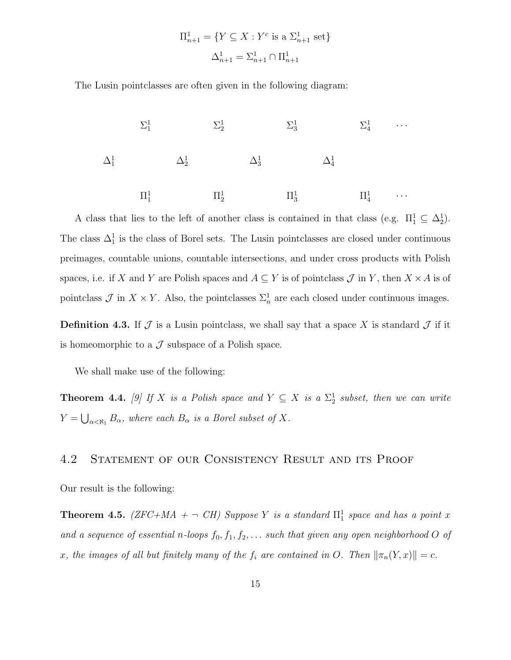$$
\Pi_{n+1}^{1} = \{ Y \subseteq X : Y^{c} \text{ is a } \Sigma_{n+1}^{1} \text{ set} \}
$$

$$
\Delta_{n+1}^{1} = \Sigma_{n+1}^{1} \cap \Pi_{n+1}^{1}
$$

The Lusin pointclasses are often given in the following diagram:



A class that lies to the left of another class is contained in that class (e.g.  $\Pi_1^1 \subseteq \Delta_2^1$ ). The class  $\Delta_1^1$  is the class of Borel sets. The Lusin pointclasses are closed under continuous preimages, countable unions, countable intersections, and under cross products with Polish spaces, i.e. if X and Y are Polish spaces and  $A \subseteq Y$  is of pointclass  $\mathcal J$  in Y, then  $X \times A$  is of pointclass  $\mathcal{J}$  in  $X \times Y$ . Also, the pointclasses  $\Sigma_n^1$  are each closed under continuous images.

**Definition 4.3.** If  $\mathcal J$  is a Lusin pointclass, we shall say that a space X is standard  $\mathcal J$  if it is homeomorphic to a  $\mathcal J$  subspace of a Polish space.

We shall make use of the following:

**Theorem 4.4.** [\[9\]](#page-23-8) If X is a Polish space and  $Y \subseteq X$  is a  $\Sigma^1_2$  subset, then we can write  $Y = \bigcup_{\alpha < \aleph_1} B_\alpha$ , where each  $B_\alpha$  is a Borel subset of X.

# <span id="page-19-0"></span>4.2 Statement of our Consistency Result and its Proof

<span id="page-19-1"></span>Our result is the following:

**Theorem 4.5.** (ZFC+MA +  $\neg$  CH) Suppose Y is a standard  $\Pi_1^1$  space and has a point x and a sequence of essential n-loops  $f_0, f_1, f_2, \ldots$  such that given any open neighborhood O of x, the images of all but finitely many of the  $f_i$  are contained in O. Then  $\|\pi_n(Y, x)\| = c$ .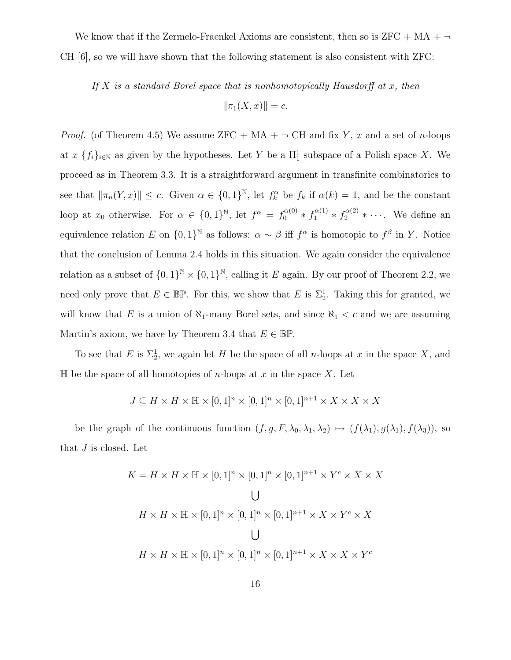We know that if the Zermelo-Fraenkel Axioms are consistent, then so is  $ZFC + MA + \neg$ CH [\[6\]](#page-23-5), so we will have shown that the following statement is also consistent with ZFC:

If  $X$  is a standard Borel space that is nonhomotopically Hausdorff at  $x$ , then  $\|\pi_1(X, x)\| = c.$ 

*Proof.* (of Theorem [4.5\)](#page-19-1) We assume ZFC + MA +  $\neg$  CH and fix Y, x and a set of n-loops at  $x \{f_i\}_{i\in\mathbb{N}}$  as given by the hypotheses. Let Y be a  $\Pi_1^1$  subspace of a Polish space X. We proceed as in Theorem [3.3.](#page-15-2) It is a straightforward argument in transfinite combinatorics to see that  $\|\pi_n(Y,x)\| \leq c$ . Given  $\alpha \in \{0,1\}^{\mathbb{N}},$  let  $f_k^{\alpha}$  be  $f_k$  if  $\alpha(k) = 1$ , and be the constant loop at  $x_0$  otherwise. For  $\alpha \in \{0,1\}^{\mathbb{N}},$  let  $f^{\alpha} = f_0^{\alpha(0)} * f_1^{\alpha(1)} * f_2^{\alpha(2)} * \cdots$ . We define an equivalence relation E on  $\{0,1\}^{\mathbb{N}}$  as follows:  $\alpha \sim \beta$  iff  $f^{\alpha}$  is homotopic to  $f^{\beta}$  in Y. Notice that the conclusion of Lemma [2.4](#page-10-1) holds in this situation. We again consider the equivalence relation as a subset of  $\{0,1\}^{\mathbb{N}} \times \{0,1\}^{\mathbb{N}}$ , calling it E again. By our proof of Theorem [2.2,](#page-6-1) we need only prove that  $E \in \mathbb{BP}$ . For this, we show that E is  $\Sigma^1_2$ . Taking this for granted, we will know that E is a union of  $\aleph_1$ -many Borel sets, and since  $\aleph_1 < c$  and we are assuming Martin's axiom, we have by Theorem [3.4](#page-16-3) that  $E \in \mathbb{BP}$ .

To see that E is  $\Sigma_2^1$ , we again let H be the space of all n-loops at x in the space X, and  $\mathbb H$  be the space of all homotopies of *n*-loops at x in the space X. Let

$$
J \subseteq H \times H \times \mathbb{H} \times [0,1]^n \times [0,1]^n \times [0,1]^{n+1} \times X \times X \times X
$$

be the graph of the continuous function  $(f, g, F, \lambda_0, \lambda_1, \lambda_2) \mapsto (f(\lambda_1), g(\lambda_1), f(\lambda_3))$ , so that J is closed. Let

$$
K = H \times H \times \mathbb{H} \times [0, 1]^n \times [0, 1]^n \times [0, 1]^{n+1} \times Y^c \times X \times X
$$
  
\n
$$
\bigcup
$$
  
\n
$$
H \times H \times \mathbb{H} \times [0, 1]^n \times [0, 1]^n \times [0, 1]^{n+1} \times X \times Y^c \times X
$$
  
\n
$$
\bigcup
$$
  
\n
$$
H \times H \times \mathbb{H} \times [0, 1]^n \times [0, 1]^n \times [0, 1]^{n+1} \times X \times X \times Y^c
$$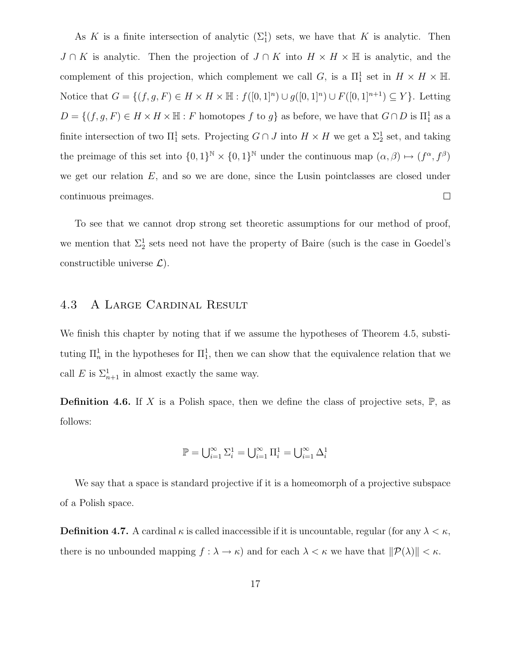As K is a finite intersection of analytic  $(\Sigma_1^1)$  sets, we have that K is analytic. Then  $J \cap K$  is analytic. Then the projection of  $J \cap K$  into  $H \times H \times \mathbb{H}$  is analytic, and the complement of this projection, which complement we call G, is a  $\Pi_1^1$  set in  $H \times H \times \mathbb{H}$ . Notice that  $G = \{(f, g, F) \in H \times H \times \mathbb{H} : f([0, 1]^n) \cup g([0, 1]^n) \cup F([0, 1]^{n+1}) \subseteq Y\}$ . Letting  $D = \{(f, g, F) \in H \times H \times \mathbb{H} : F \text{ homotopes } f \text{ to } g\}$  as before, we have that  $G \cap D$  is  $\Pi_1^1$  as a finite intersection of two  $\Pi_1^1$  sets. Projecting  $G \cap J$  into  $H \times H$  we get a  $\Sigma_2^1$  set, and taking the preimage of this set into  $\{0,1\}^{\mathbb{N}} \times \{0,1\}^{\mathbb{N}}$  under the continuous map  $(\alpha,\beta) \mapsto (f^{\alpha},f^{\beta})$ we get our relation  $E$ , and so we are done, since the Lusin pointclasses are closed under continuous preimages.  $\Box$ 

To see that we cannot drop strong set theoretic assumptions for our method of proof, we mention that  $\Sigma_2^1$  sets need not have the property of Baire (such is the case in Goedel's constructible universe  $\mathcal{L}$ ).

# <span id="page-21-0"></span>4.3 A Large Cardinal Result

We finish this chapter by noting that if we assume the hypotheses of Theorem [4.5,](#page-19-1) substituting  $\prod_n^1$  in the hypotheses for  $\prod_1^1$ , then we can show that the equivalence relation that we call E is  $\Sigma_{n+1}^1$  in almost exactly the same way.

**Definition 4.6.** If X is a Polish space, then we define the class of projective sets,  $\mathbb{P}$ , as follows:

$$
\mathbb{P}=\bigcup_{i=1}^\infty \Sigma^1_i=\bigcup_{i=1}^\infty \Pi^1_i=\bigcup_{i=1}^\infty \Delta^1_i
$$

We say that a space is standard projective if it is a homeomorph of a projective subspace of a Polish space.

**Definition 4.7.** A cardinal  $\kappa$  is called inaccessible if it is uncountable, regular (for any  $\lambda < \kappa$ , there is no unbounded mapping  $f : \lambda \to \kappa$  and for each  $\lambda < \kappa$  we have that  $||\mathcal{P}(\lambda)|| < \kappa$ .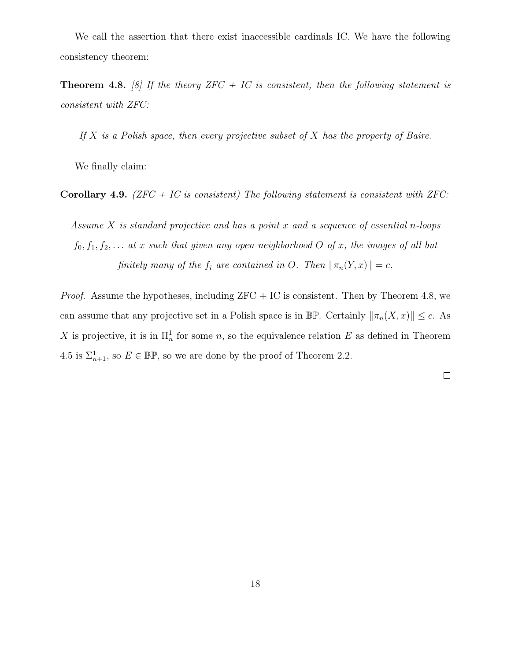We call the assertion that there exist inaccessible cardinals IC. We have the following consistency theorem:

<span id="page-22-0"></span>**Theorem 4.8.** [\[8\]](#page-23-7) If the theory ZFC + IC is consistent, then the following statement is consistent with ZFC:

If  $X$  is a Polish space, then every projective subset of  $X$  has the property of Baire.

We finally claim:

Corollary 4.9. (ZFC + IC is consistent) The following statement is consistent with ZFC:

Assume  $X$  is standard projective and has a point  $x$  and a sequence of essential n-loops  $f_0, f_1, f_2, \ldots$  at x such that given any open neighborhood O of x, the images of all but finitely many of the  $f_i$  are contained in O. Then  $\|\pi_n(Y, x)\| = c$ .

*Proof.* Assume the hypotheses, including  $ZFC + IC$  is consistent. Then by Theorem [4.8,](#page-22-0) we can assume that any projective set in a Polish space is in  $\mathbb{BP}$ . Certainly  $\|\pi_n(X, x)\| \leq c$ . As X is projective, it is in  $\prod_n^1$  for some n, so the equivalence relation E as defined in Theorem [4.5](#page-19-1) is  $\Sigma_{n+1}^1$ , so  $E \in \mathbb{BP}$ , so we are done by the proof of Theorem [2.2.](#page-6-1)

 $\Box$